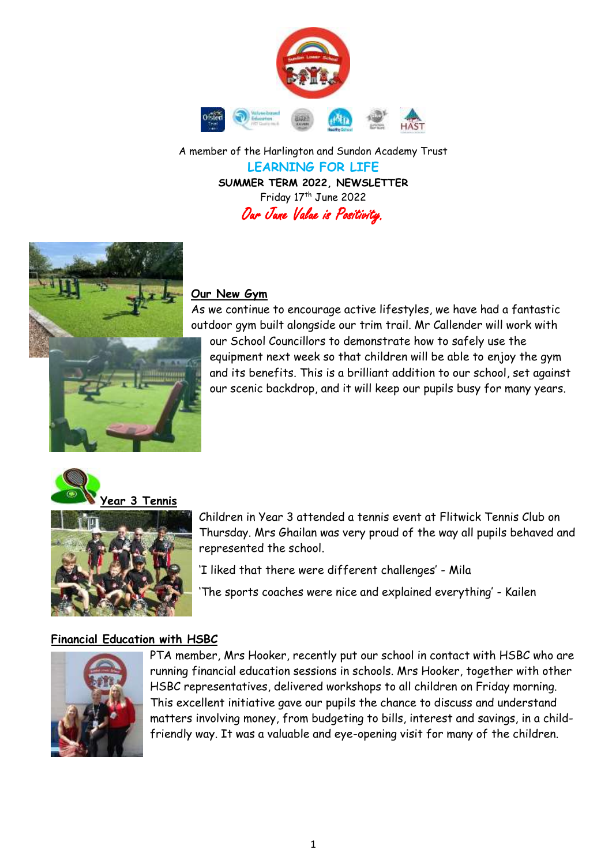

A member of the Harlington and Sundon Academy Trust **LEARNING FOR LIFE SUMMER TERM 2022, NEWSLETTER**  Friday 17<sup>th</sup> June 2022 Our June Value is Positivity.



### **Our New Gym**

As we continue to encourage active lifestyles, we have had a fantastic outdoor gym built alongside our trim trail. Mr Callender will work with

our School Councillors to demonstrate how to safely use the equipment next week so that children will be able to enjoy the gym and its benefits. This is a brilliant addition to our school, set against our scenic backdrop, and it will keep our pupils busy for many years.





Children in Year 3 attended a tennis event at Flitwick Tennis Club on Thursday. Mrs Ghailan was very proud of the way all pupils behaved and represented the school.

'I liked that there were different challenges' - Mila

'The sports coaches were nice and explained everything' - Kailen

## **Financial Education with HSBC**



PTA member, Mrs Hooker, recently put our school in contact with HSBC who are running financial education sessions in schools. Mrs Hooker, together with other HSBC representatives, delivered workshops to all children on Friday morning. This excellent initiative gave our pupils the chance to discuss and understand matters involving money, from budgeting to bills, interest and savings, in a childfriendly way. It was a valuable and eye-opening visit for many of the children.